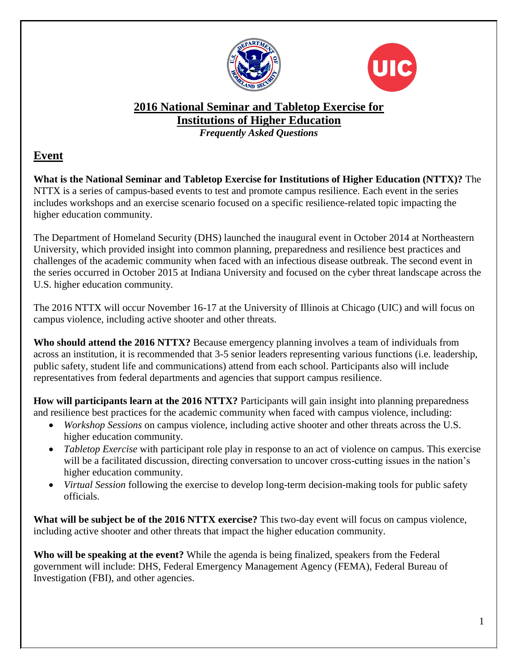



# **2016 National Seminar and Tabletop Exercise for Institutions of Higher Education**

*Frequently Asked Questions*

### **Event**

**What is the National Seminar and Tabletop Exercise for Institutions of Higher Education (NTTX)?** The NTTX is a series of campus-based events to test and promote campus resilience. Each event in the series includes workshops and an exercise scenario focused on a specific resilience-related topic impacting the higher education community.

The Department of Homeland Security (DHS) launched the inaugural event in October 2014 at Northeastern University, which provided insight into common planning, preparedness and resilience best practices and challenges of the academic community when faced with an infectious disease outbreak. The second event in the series occurred in October 2015 at Indiana University and focused on the cyber threat landscape across the U.S. higher education community.

The 2016 NTTX will occur November 16-17 at the University of Illinois at Chicago (UIC) and will focus on campus violence, including active shooter and other threats.

**Who should attend the 2016 NTTX?** Because emergency planning involves a team of individuals from across an institution, it is recommended that 3-5 senior leaders representing various functions (i.e. leadership, public safety, student life and communications) attend from each school. Participants also will include representatives from federal departments and agencies that support campus resilience.

**How will participants learn at the 2016 NTTX?** Participants will gain insight into planning preparedness and resilience best practices for the academic community when faced with campus violence, including:

- *Workshop Sessions* on campus violence, including active shooter and other threats across the U.S. higher education community.
- *Tabletop Exercise* with participant role play in response to an act of violence on campus. This exercise will be a facilitated discussion, directing conversation to uncover cross-cutting issues in the nation's higher education community.
- *Virtual Session* following the exercise to develop long-term decision-making tools for public safety officials.

**What will be subject be of the 2016 NTTX exercise?** This two-day event will focus on campus violence, including active shooter and other threats that impact the higher education community.

**Who will be speaking at the event?** While the agenda is being finalized, speakers from the Federal government will include: DHS, Federal Emergency Management Agency (FEMA), Federal Bureau of Investigation (FBI), and other agencies.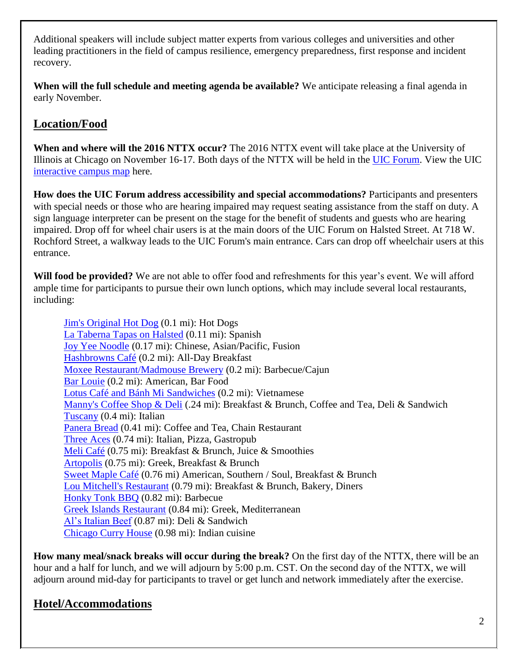Additional speakers will include subject matter experts from various colleges and universities and other leading practitioners in the field of campus resilience, emergency preparedness, first response and incident recovery.

**When will the full schedule and meeting agenda be available?** We anticipate releasing a final agenda in early November.

## **Location/Food**

**When and where will the 2016 NTTX occur?** The 2016 NTTX event will take place at the University of Illinois at Chicago on November 16-17. Both days of the NTTX will be held in the [UIC Forum.](http://uicforum.uic.edu/index.shtml) View the UIC [interactive campus map](https://maps.uic.edu/) here.

**How does the UIC Forum address accessibility and special accommodations?** Participants and presenters with special needs or those who are hearing impaired may request seating assistance from the staff on duty. A sign language interpreter can be present on the stage for the benefit of students and guests who are hearing impaired. Drop off for wheel chair users is at the main doors of the UIC Forum on Halsted Street. At 718 W. Rochford Street, a walkway leads to the UIC Forum's main entrance. Cars can drop off wheelchair users at this entrance.

**Will food be provided?** We are not able to offer food and refreshments for this year's event. We will afford ample time for participants to pursue their own lunch options, which may include several local restaurants, including:

[Jim's Original Hot Dog](http://jimsoriginal.com/jimsoriginal/Welcome/) (0.1 mi): Hot Dogs [La Taberna Tapas on Halsted](http://latabernatapas.com/) (0.11 mi): Spanish [Joy Yee Noodle](http://joyyee.com/) (0.17 mi): Chinese, Asian/Pacific, Fusion [Hashbrowns Café](http://www.hashbrownscafe.com/) (0.2 mi): All-Day Breakfast [Moxee Restaurant/Madmouse Brewery](http://www.moxeerestaurant.com/) (0.2 mi): Barbecue/Cajun [Bar Louie](http://www.barlouie.com/locations/states/illinois/university-village) (0.2 mi): American, Bar Food [Lotus Café and Bánh Mi Sandwiches](http://www.lotusbanhmi.com/) (0.2 mi): Vietnamese [Manny's Coffee Shop & Deli](http://mannysdeli.com/) (.24 mi): Breakfast & Brunch, Coffee and Tea, Deli & Sandwich [Tuscany](http://www.tuscanychicago.com/tuscany-taylor.html) (0.4 mi): Italian [Panera Bread](https://www.panerabread.com/en-us/home.html) (0.41 mi): Coffee and Tea, Chain Restaurant [Three Aces](https://threeaceschicago.com/) (0.74 mi): Italian, Pizza, Gastropub [Meli Café](http://www.melicafe.com/index) (0.75 mi): Breakfast & Brunch, Juice & Smoothies [Artopolis](http://artopolischicago.com/) (0.75 mi): Greek, Breakfast & Brunch [Sweet Maple Café](http://sweetmaplecafe.com/) (0.76 mi) American, Southern / Soul, Breakfast & Brunch [Lou Mitchell's Restaurant](http://www.loumitchellsrestaurant.com/) (0.79 mi): Breakfast & Brunch, Bakery, Diners [Honky Tonk BBQ](http://honkytonkbbqchicago.com/) (0.82 mi): Barbecue [Greek Islands Restaurant](http://www.greekislandsgrill.com/) (0.84 mi): Greek, Mediterranean [Al's Italian Beef](http://www.alsbeef.com/uploads/1/5/9/4/15946036/als_taylor_st_web_menu.pdf) (0.87 mi): Deli & Sandwich [Chicago Curry House](http://curryhouseonline.com/) (0.98 mi): Indian cuisine

**How many meal/snack breaks will occur during the break?** On the first day of the NTTX, there will be an hour and a half for lunch, and we will adjourn by 5:00 p.m. CST. On the second day of the NTTX, we will adjourn around mid-day for participants to travel or get lunch and network immediately after the exercise.

## **Hotel/Accommodations**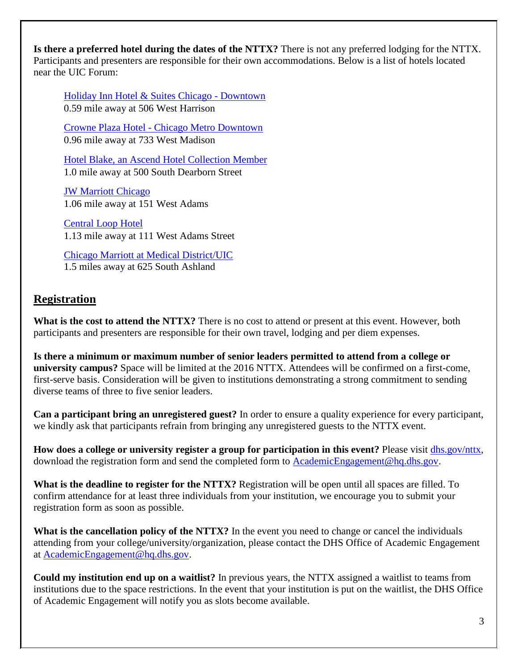**Is there a preferred hotel during the dates of the NTTX?** There is not any preferred lodging for the NTTX. Participants and presenters are responsible for their own accommodations. Below is a list of hotels located near the UIC Forum:

[Holiday Inn Hotel & Suites Chicago -](http://www.hidowntown.com/) Downtown 0.59 mile away at 506 West Harrison

Crowne Plaza Hotel - [Chicago Metro Downtown](http://www.thechicagometro.com/) 0.96 mile away at 733 West Madison

[Hotel Blake, an Ascend Hotel Collection Member](http://www.hotelblake.com/) 1.0 mile away at 500 South Dearborn Street

[JW Marriott Chicago](http://www.marriott.com/hotels/travel/chijw-jw-marriott-chicago/) 1.06 mile away at 151 West Adams

[Central Loop Hotel](http://www.centralloophotel.com/) 1.13 mile away at 111 West Adams Street

Chicago [Marriott at Medical District/UIC](http://www.marriott.com/hotels/travel/chidm-chicago-marriott-at-medical-district-uic/?corporateCode=YY1&toDate=&fromDate=&app=resvlink) 1.5 miles away at 625 South Ashland

### **Registration**

**What is the cost to attend the NTTX?** There is no cost to attend or present at this event. However, both participants and presenters are responsible for their own travel, lodging and per diem expenses.

**Is there a minimum or maximum number of senior leaders permitted to attend from a college or university campus?** Space will be limited at the 2016 NTTX. Attendees will be confirmed on a first-come, first-serve basis. Consideration will be given to institutions demonstrating a strong commitment to sending diverse teams of three to five senior leaders.

**Can a participant bring an unregistered guest?** In order to ensure a quality experience for every participant, we kindly ask that participants refrain from bringing any unregistered guests to the NTTX event.

**How does a college or university register a group for participation in this event?** Please visit [dhs.gov/nttx,](https://www.dhs.gov/nttx) download the registration form and send the completed form to [AcademicEngagement@hq.dhs.gov.](mailto:AcademicEngagement@hq.dhs.gov)

**What is the deadline to register for the NTTX?** Registration will be open until all spaces are filled. To confirm attendance for at least three individuals from your institution, we encourage you to submit your registration form as soon as possible.

**What is the cancellation policy of the NTTX?** In the event you need to change or cancel the individuals attending from your college/university/organization, please contact the DHS Office of Academic Engagement at [AcademicEngagement@hq.dhs.gov.](mailto:AcademicEngagement@hq.dhs.gov)

**Could my institution end up on a waitlist?** In previous years, the NTTX assigned a waitlist to teams from institutions due to the space restrictions. In the event that your institution is put on the waitlist, the DHS Office of Academic Engagement will notify you as slots become available.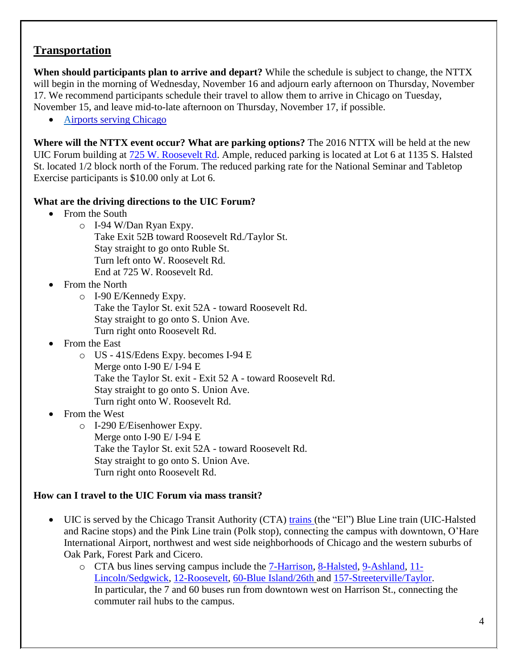#### **Transportation**

**When should participants plan to arrive and depart?** While the schedule is subject to change, the NTTX will begin in the morning of Wednesday, November 16 and adjourn early afternoon on Thursday, November 17. We recommend participants schedule their travel to allow them to arrive in Chicago on Tuesday, November 15, and leave mid-to-late afternoon on Thursday, November 17, if possible.

• [Airports serving Chicago](http://www.flychicago.com/)

**Where will the NTTX event occur? What are parking options?** The 2016 NTTX will be held at the new UIC Forum building at [725 W. Roosevelt Rd.](https://goo.gl/maps/qkLwjBNdZPE2) Ample, reduced parking is located at Lot 6 at 1135 S. Halsted St. located 1/2 block north of the Forum. The reduced parking rate for the National Seminar and Tabletop Exercise participants is \$10.00 only at Lot 6.

#### **What are the driving directions to the UIC Forum?**

- From the South
	- o I-94 W/Dan Ryan Expy.
		- Take Exit 52B toward Roosevelt Rd./Taylor St. Stay straight to go onto Ruble St. Turn left onto W. Roosevelt Rd. End at 725 W. Roosevelt Rd.
- From the North
	- o I-90 E/Kennedy Expy. Take the Taylor St. exit 52A - toward Roosevelt Rd. Stay straight to go onto S. Union Ave. Turn right onto Roosevelt Rd.
- From the East
	- o US 41S/Edens Expy. becomes I-94 E Merge onto I-90 E/ I-94 E Take the Taylor St. exit - Exit 52 A - toward Roosevelt Rd. Stay straight to go onto S. Union Ave. Turn right onto W. Roosevelt Rd.
- From the West
	- o I-290 E/Eisenhower Expy. Merge onto I-90 E/ I-94 E Take the Taylor St. exit 52A - toward Roosevelt Rd. Stay straight to go onto S. Union Ave. Turn right onto Roosevelt Rd.

#### **How can I travel to the UIC Forum via mass transit?**

- UIC is served by the Chicago Transit Authority (CTA) [trains](http://www.transitchicago.com/) (the "El") Blue Line train (UIC-Halsted and Racine stops) and the Pink Line train (Polk stop), connecting the campus with downtown, O'Hare International Airport, northwest and west side neighborhoods of Chicago and the western suburbs of Oak Park, Forest Park and Cicero.
	- o CTA bus lines serving campus include the [7-Harrison,](http://www.transitchicago.com/riding_cta/busroute.aspx?RouteId=166) [8-Halsted,](http://www.transitchicago.com/riding_cta/busroute.aspx?RouteId=167) [9-Ashland,](http://www.transitchicago.com/riding_cta/busroute.aspx?RouteId=169) [11-](http://www.transitchicago.com/riding_cta/busroute.aspx?RouteId=172) [Lincoln/Sedgwick,](http://www.transitchicago.com/riding_cta/busroute.aspx?RouteId=172) [12-Roosevelt,](http://www.transitchicago.com/riding_cta/busroute.aspx?RouteId=173) [60-Blue Island/26th](http://www.transitchicago.com/riding_cta/busroute.aspx?RouteId=221) and [157-Streeterville/Taylor.](http://www.transitchicago.com/riding_cta/busroute.aspx?RouteId=293) In particular, the 7 and 60 buses run from downtown west on Harrison St., connecting the commuter rail hubs to the campus.